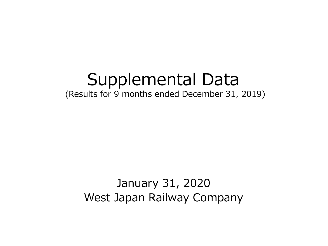# Supplemental Data (Results for 9 months ended December 31, 2019)

## January 31, 2020 West Japan Railway Company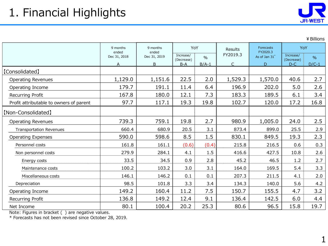

¥Billions

|                                         | 9 months<br>ended | 9 months<br>ended | YoY                              |                          | Results                  | Forecasts<br>FY2020.3 | YoY                              |                          |
|-----------------------------------------|-------------------|-------------------|----------------------------------|--------------------------|--------------------------|-----------------------|----------------------------------|--------------------------|
|                                         | Dec 31, 2018<br>A | Dec 31, 2019<br>B | Increase/<br>(Decrease)<br>$B-A$ | $\frac{0}{0}$<br>$B/A-1$ | FY2019.3<br>$\mathsf{C}$ | As of Jan 31*<br>D    | Increase/<br>(Decrease)<br>$D-C$ | $\frac{9}{6}$<br>$D/C-1$ |
| [Consolidated]                          |                   |                   |                                  |                          |                          |                       |                                  |                          |
| <b>Operating Revenues</b>               | 1,129.0           | 1,151.6           | 22.5                             | 2.0                      | 1,529.3                  | 1,570.0               | 40.6                             | 2.7                      |
| Operating Income                        | 179.7             | 191.1             | 11.4                             | 6.4                      | 196.9                    | 202.0                 | 5.0                              | 2.6                      |
| Recurring Profit                        | 167.8             | 180.0             | 12.1                             | 7.3                      | 183.3                    | 189.5                 | 6.1                              | 3.4                      |
| Profit attributable to owners of parent | 97.7              | 117.1             | 19.3                             | 19.8                     | 102.7                    | 120.0                 | 17.2                             | 16.8                     |
| [Non-Consolidated]                      |                   |                   |                                  |                          |                          |                       |                                  |                          |
| <b>Operating Revenues</b>               | 739.3             | 759.1             | 19.8                             | 2.7                      | 980.9                    | 1,005.0               | 24.0                             | 2.5                      |
| <b>Transportation Revenues</b>          | 660.4             | 680.9             | 20.5                             | 3.1                      | 873.4                    | 899.0                 | 25.5                             | 2.9                      |
| <b>Operating Expenses</b>               | 590.0             | 598.6             | 8.5                              | 1.5                      | 830.1                    | 849.5                 | 19.3                             | 2.3                      |
| Personnel costs                         | 161.8             | 161.1             | (0.6)                            | (0.4)                    | 215.8                    | 216.5                 | 0.6                              | 0.3                      |
| Non personnel costs                     | 279.9             | 284.1             | 4.1                              | 1.5                      | 416.6                    | 427.5                 | 10.8                             | 2.6                      |
| Energy costs                            | 33.5              | 34.5              | 0.9                              | 2.8                      | 45.2                     | 46.5                  | 1.2                              | 2.7                      |
| Maintenance costs                       | 100.2             | 103.2             | 3.0                              | 3.1                      | 164.0                    | 169.5                 | 5.4                              | 3.3                      |
| Miscellaneous costs                     | 146.1             | 146.2             | 0.1                              | 0.1                      | 207.3                    | 211.5                 | 4.1                              | 2.0                      |
| Depreciation                            | 98.5              | 101.8             | 3.3                              | 3.4                      | 134.3                    | 140.0                 | 5.6                              | 4.2                      |
| Operating Income                        | 149.2             | 160.4             | 11.2                             | 7.5                      | 150.7                    | 155.5                 | 4.7                              | 3.2                      |
| Recurring Profit                        | 136.8             | 149.2             | 12.4                             | 9.1                      | 136.4                    | 142.5                 | 6.0                              | 4.4                      |
| Net Income                              | 80.1              | 100.4             | 20.2                             | 25.3                     | 80.6                     | 96.5                  | 15.8                             | 19.7                     |

Note: Figures in bracket ( ) are negative values.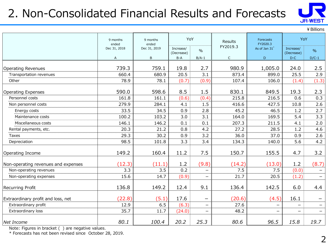## 2. Non-Consolidated Financial Results and Forecasts



¥Billions

|                                     | 9 months<br>ended | 9 months<br>ended | YoY                     |                          | Results      | Forecasts<br>FY2020.3 | YoY                     |                          |
|-------------------------------------|-------------------|-------------------|-------------------------|--------------------------|--------------|-----------------------|-------------------------|--------------------------|
|                                     | Dec 31, 2018      | Dec 31, 2019      | Increase/<br>(Decrease) | $\frac{0}{0}$            | FY2019.3     | As of Jan 31*         | Increase/<br>(Decrease) | $\%$                     |
|                                     | A                 | B                 | $B-A$                   | $B/A-1$                  | $\mathsf{C}$ | D                     | $D-C$                   | $D/C-1$                  |
| <b>Operating Revenues</b>           | 739.3             | 759.1             | 19.8                    | 2.7                      | 980.9        | 1,005.0               | 24.0                    | 2.5                      |
| Transportation revenues             | 660.4             | 680.9             | 20.5                    | 3.1                      | 873.4        | 899.0                 | 25.5                    | 2.9                      |
| Other                               | 78.9              | 78.1              | (0.7)                   | (0.9)                    | 107.4        | 106.0                 | (1.4)                   | (1.3)                    |
| <b>Operating Expenses</b>           | 590.0             | 598.6             | 8.5                     | 1.5                      | 830.1        | 849.5                 | 19.3                    | 2.3                      |
| Personnel costs                     | 161.8             | 161.1             | (0.6)                   | (0.4)                    | 215.8        | 216.5                 | 0.6                     | 0.3                      |
| Non personnel costs                 | 279.9             | 284.1             | 4.1                     | 1.5                      | 416.6        | 427.5                 | 10.8                    | 2.6                      |
| Energy costs                        | 33.5              | 34.5              | 0.9                     | 2.8                      | 45.2         | 46.5                  | 1.2                     | 2.7                      |
| Maintenance costs                   | 100.2             | 103.2             | 3.0                     | 3.1                      | 164.0        | 169.5                 | 5.4                     | 3.3                      |
| Miscellaneous costs                 | 146.1             | 146.2             | 0.1                     | 0.1                      | 207.3        | 211.5                 | 4.1                     | 2.0                      |
| Rental payments, etc.               | 20.3              | 21.2              | 0.8                     | 4.2                      | 27.2         | 28.5                  | 1.2                     | 4.6                      |
| Taxes                               | 29.3              | 30.2              | 0.9                     | 3.2                      | 36.0         | 37.0                  | 0.9                     | 2.6                      |
| Depreciation                        | 98.5              | 101.8             | 3.3                     | 3.4                      | 134.3        | 140.0                 | 5.6                     | 4.2                      |
| Operating Income                    | 149.2             | 160.4             | 11.2                    | 7.5                      | 150.7        | 155.5                 | 4.7                     | 3.2                      |
| Non-operating revenues and expenses | (12.3)            | (11.1)            | 1.2                     | (9.8)                    | (14.2)       | (13.0)                | 1.2                     | (8.7)                    |
| Non-operating revenues              | 3.3               | 3.5               | 0.2                     | -                        | 7.5          | 7.5                   | (0.0)                   | -                        |
| Non-operating expenses              | 15.6              | 14.7              | (0.9)                   | -                        | 21.7         | 20.5                  | (1.2)                   | $\overline{\phantom{0}}$ |
| Recurring Profit                    | 136.8             | 149.2             | 12.4                    | 9.1                      | 136.4        | 142.5                 | 6.0                     | 4.4                      |
| Extraordinary profit and loss, net  | (22.8)            | (5.1)             | 17.6                    |                          | (20.6)       | (4.5)                 | 16.1                    |                          |
| Extraordinary profit                | 12.9              | 6.5               | (6.3)                   | $\overline{\phantom{0}}$ | 27.6         |                       | $\equiv$                | $\overline{\phantom{0}}$ |
| Extraordinary loss                  | 35.7              | 11.7              | (24.0)                  | -                        | 48.2         | -                     | $\qquad \qquad -$       | $\overline{\phantom{0}}$ |
| Net Income                          | 80.1              | 100.4             | 20.2                    | 25.3                     | 80.6         | 96.5                  | 15.8                    | 19.7                     |

Note: Figures in bracket ( ) are negative values.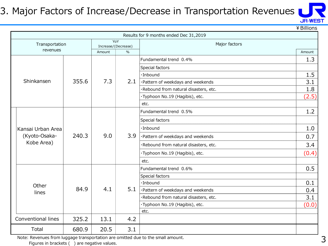## 3. Major Factors of Increase/Decrease in Transportation Revenues



¥Billions

|                    |       |                     |      | Results for 9 months ended Dec 31,2019 |        |
|--------------------|-------|---------------------|------|----------------------------------------|--------|
| Transportation     |       | Increase/(Decrease) | YoY  | Major factors                          |        |
| revenues           |       | Amount              | $\%$ |                                        | Amount |
|                    |       |                     |      | Fundamental trend 0.4%                 | 1.3    |
|                    |       |                     |      | Special factors                        |        |
|                    |       |                     |      | $\cdot$ Inbound                        | 1.5    |
| Shinkansen         | 355.6 | 7.3                 | 2.1  | ·Pattern of weekdays and weekends      | 3.1    |
|                    |       |                     |      | ·Rebound from natural disasters, etc.  | 1.8    |
|                    |       |                     |      | ·Typhoon No.19 (Hagibis), etc.         | (2.5)  |
|                    |       |                     |      | etc.                                   |        |
|                    |       |                     |      | Fundamental trend 0.5%                 | 1.2    |
|                    |       |                     |      | Special factors                        |        |
| lKansai Urban Area |       |                     |      | $\cdot$ Inbound                        | 1.0    |
| (Kyoto-Osaka-      | 240.3 | 9.0                 | 3.9  | ·Pattern of weekdays and weekends      | 0.7    |
| Kobe Area)         |       |                     |      | ·Rebound from natural disasters, etc.  | 3.4    |
|                    |       |                     |      | ·Typhoon No.19 (Hagibis), etc.         | (0.4)  |
|                    |       |                     |      | etc.                                   |        |
|                    |       |                     |      | Fundamental trend 0.6%                 | 0.5    |
|                    |       |                     |      | Special factors                        |        |
| Other              |       |                     |      | ·Inbound                               | 0.1    |
| lines              | 84.9  | 4.1                 | 5.1  | ·Pattern of weekdays and weekends      | 0.4    |
|                    |       |                     |      | ·Rebound from natural disasters, etc.  | 3.1    |
|                    |       |                     |      | ·Typhoon No.19 (Hagibis), etc.         | (0.0)  |
|                    |       |                     |      | etc.                                   |        |
| Conventional lines | 325.2 | 13.1                | 4.2  |                                        |        |
| Total              | 680.9 | 20.5                | 3.1  |                                        |        |

Note: Revenues from luggage transportation are omitted due to the small amount.

Figures in brackets ( ) are negative values.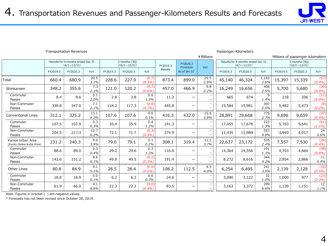

#### Transportation Revenues Passenger-Kilometers

|                                              | ¥ Billions                                              |          |              |          |                                      |                    |          |                          |                          | Millions of passenger-kilometers |                                                         |               |          |                                      |                   |  |
|----------------------------------------------|---------------------------------------------------------|----------|--------------|----------|--------------------------------------|--------------------|----------|--------------------------|--------------------------|----------------------------------|---------------------------------------------------------|---------------|----------|--------------------------------------|-------------------|--|
|                                              | Results for 9 months ended Dec 31<br>$(4/1 \sim 12/31)$ |          |              |          | 3 months (3Q)<br>$(10/1 \sim 12/31)$ |                    | FY2019.3 | FY2020.3<br>Forecasts    | YoY                      |                                  | Results for 9 months ended Dec 31<br>$(4/1 \sim 12/31)$ |               |          | 3 months (30)<br>$(10/1 \sim 12/31)$ |                   |  |
|                                              | FY2019.3                                                | FY2020.3 | YoY          | FY2019.3 | FY2020.3                             | YoY                | Results  | As of Jan 31*            |                          | FY2019.3                         | FY2020.3                                                | YoY           | FY2019.3 | FY2020.3                             | YoY               |  |
| Total                                        | 660.4                                                   | 680.9    | 20.5<br>3.1% | 228.6    | 227.9                                | (0.7)<br>(0.3%)    | 873.4    | 899.0                    | 25.5<br>2.9%             | 45,140                           | 46,324                                                  | 1,183<br>2.6% | 15,397   | 15,339                               | (57)<br>(0.4%)    |  |
| Shinkansen                                   | 348.2                                                   | 355.6    | 7.3<br>2.1%  | 121.0    | 120.2                                | (0.7)<br>(0.6%)    | 457.0    | 466.9                    | 9.8<br>2.2%              | 16,249                           | 16,656                                                  | 406<br>2.5%   | 5,700    | 5,680                                | (20)<br>(0.4%)    |  |
| Commuter<br>Passes                           | 8.4                                                     | 8.6      | 0.1<br>2.0%  | 2.8      | 2.8                                  | 0.0<br>1.5%        | 11.2     |                          |                          | 665                              | 674                                                     | 9<br>1.4%     | 218      | 206                                  | (11)<br>$(5.4\%)$ |  |
| Non-Commuter<br>Passes                       | 339.8                                                   | 347.0    | 7.1<br>2.1%  | 118.2    | 117.3                                | (0.8)<br>(0.7%     | 445.8    | $\qquad \qquad$          |                          | 15,584                           | 15,981                                                  | 397<br>2.6%   | 5,482    | 5,473                                | (8)<br>(0.2%)     |  |
| <b>Conventional Lines</b>                    | 312.1                                                   | 325.2    | 13.1<br>4.2% | 107.6    | 107.6                                | 0.0<br>0.1%        | 416.3    | 432.0                    | 15.6<br>3.8%             | 28,891                           | 29,668                                                  | 776<br>2.7%   | 9,696    | 9,659                                | (37)<br>(0.4%)    |  |
| Commuter<br>Passes                           | 107.5                                                   | 107.9    | 0.3<br>0.3%  | 35.4     | 35.9                                 | 0.4<br>1.2%        | 141.3    | $\qquad \qquad$          |                          | 17,455                           | 17,678                                                  | 223<br>1.3%   | 5,703    | 5,641                                | (61)<br>$(1.1\%)$ |  |
| Non-Commuter<br>Passes                       | 204.5                                                   | 217.3    | 12.7<br>6.2% | 72.1     | 71.7                                 | (0.3)<br>$(0.5\%)$ | 274.9    | $\overline{\phantom{m}}$ |                          | 11,435                           | 11,989                                                  | 553<br>4.8%   | 3,993    | 4,017                                | 24<br>0.6%        |  |
| Kansai Urban Area<br>(Kyoto-Osaka-Kobe Area) | 231.2                                                   | 240.3    | 9.0<br>3.9%  | 79.0     | 79.1                                 | 0.1<br>0.2%        | 308.1    | 319.4                    | 11.2<br>3.7%             | 22,637                           | 23,172                                                  | 535<br>2.4%   | 7,557    | 7,530                                | (26)<br>(0.4%)    |  |
| Commuter<br>Passes                           | 88.6                                                    | 89.0     | 0.3<br>0.4%  | 29.2     | 29.6                                 | 0.3<br>1.3%        | 116.6    | $\overline{\phantom{0}}$ |                          | 14,364                           | 14,556                                                  | 191<br>1.3%   | 4,703    | 4,664                                | (38)<br>(0.8%)    |  |
| Non-Commuter<br>Passes                       | 142.6                                                   | 151.2    | 8.6<br>6.1%  | 49.8     | 49.5                                 | (0.2)<br>(0.5%)    | 191.4    | $\overline{\phantom{m}}$ |                          | 8,272                            | 8,616                                                   | 344<br>4.2%   | 2,854    | 2,866                                | 11<br>0.4%        |  |
| <b>Other Lines</b>                           | 80.8                                                    | 84.9     | 4.1<br>5.1%  | 28.5     | 28.4                                 | (0.0)<br>(0.2%)    | 108.2    | 112.5                    | 4.3<br>4.0%              | 6,254                            | 6,495                                                   | 241<br>3.9%   | 2,139    | 2,128                                | (10)<br>$(0.5\%)$ |  |
| Commuter<br>Passes                           | 18.8                                                    | 18.9     | 0.0<br>0.1%  | 6.2      | $6.2$                                | 0.0<br>0.7%        | 24.6     | $\qquad \qquad$          | $\overline{\phantom{0}}$ | 3,090                            | 3,122                                                   | 32<br>1.0%    | 1,000    | 977                                  | (23)<br>(2.3%)    |  |
| Non-Commuter<br>Passes                       | 61.9                                                    | 66.0     | 4.1<br>6.6%  | 22.3     | 22.2                                 | (0.0)<br>(0.4%)    | 83.5     | $\qquad \qquad$          |                          | 3,163                            | 3,372                                                   | 209<br>6.6%   | 1,139    | 1,151                                | 12<br>1.1%        |  |

Note: Figures in bracket ( ) are negative values.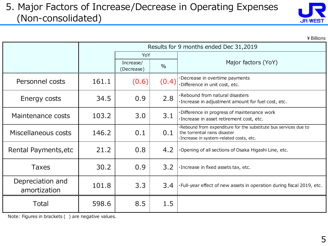#### 5. Major Factors of Increase/Decrease in Operating Expenses (Non-consolidated)



|                                  |       |                         |       | ¥ Billions                                                                                                                                  |
|----------------------------------|-------|-------------------------|-------|---------------------------------------------------------------------------------------------------------------------------------------------|
|                                  |       |                         |       | Results for 9 months ended Dec 31,2019                                                                                                      |
|                                  |       | YoY                     |       |                                                                                                                                             |
|                                  |       | Increase/<br>(Decrease) | $\%$  | Major factors (YoY)                                                                                                                         |
| Personnel costs                  | 161.1 | (0.6)                   | (0.4) | Decrease in overtime payments<br>·Difference in unit cost, etc.                                                                             |
| Energy costs                     | 34.5  | 0.9                     | 2.8   | ·Rebound from natural disasters<br>· Increase in adjustment amount for fuel cost, etc.                                                      |
| Maintenance costs                | 103.2 | 3.0                     | 3.1   | ·Difference in progress of maintenance work<br>· Increase in asset retirement cost, etc.                                                    |
| Miscellaneous costs              | 146.2 | 0.1                     | 0.1   | Rebound from expenditure for the substitute bus services due to<br>the torrential rains disaster<br>·Increase in system-related costs, etc. |
| Rental Payments, etc             | 21.2  | 0.8                     | 4.2   | Opening of all sections of Osaka Higashi Line, etc.                                                                                         |
| <b>Taxes</b>                     | 30.2  | 0.9                     | 3.2   | · Increase in fixed assets tax, etc.                                                                                                        |
| Depreciation and<br>amortization | 101.8 | 3.3                     | 3.4   | . Full-year effect of new assets in operation during fiscal 2019, etc.                                                                      |
| Total                            | 598.6 | 8.5                     | 1.5   |                                                                                                                                             |

Note: Figures in brackets ( ) are negative values.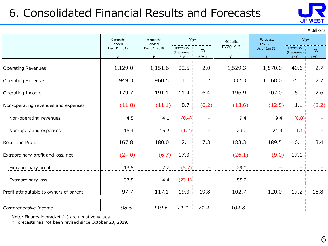## 6. Consolidated Financial Results and Forecasts



¥Billions

|                                         | 9 months<br>9 months<br>ended<br>ended |                   | YoY                              |                          | Results                  | Forecasts<br>FY2020.3 | YoY                              |                          |
|-----------------------------------------|----------------------------------------|-------------------|----------------------------------|--------------------------|--------------------------|-----------------------|----------------------------------|--------------------------|
|                                         | Dec 31, 2018<br>A                      | Dec 31, 2019<br>B | Increase/<br>(Decrease)<br>$B-A$ | $\frac{0}{0}$<br>$B/A-1$ | FY2019.3<br>$\mathsf{C}$ | As of Jan 31*<br>D    | Increase/<br>(Decrease)<br>$D-C$ | $\frac{0}{0}$<br>$D/C-1$ |
| <b>Operating Revenues</b>               | 1,129.0                                | 1,151.6           | 22.5                             | 2.0                      | 1,529.3                  | 1,570.0               | 40.6                             | 2.7                      |
| <b>Operating Expenses</b>               | 949.3                                  | 960.5             | 11.1                             | 1.2                      | 1,332.3                  | 1,368.0               | 35.6                             | 2.7                      |
| Operating Income                        | 179.7                                  | 191.1             | 11.4                             | 6.4                      | 196.9                    | 202.0                 | 5.0                              | 2.6                      |
| Non-operating revenues and expenses     | (11.8)                                 | (11.1)            | 0.7                              | (6.2)                    | (13.6)                   | (12.5)                | 1.1                              | (8.2)                    |
| Non-operating revenues                  | 4.5                                    | 4.1               | (0.4)                            | $\overline{\phantom{m}}$ | 9.4                      | 9.4                   | (0.0)                            |                          |
| Non-operating expenses                  | 16.4                                   | 15.2              | (1.2)                            | $\overline{\phantom{m}}$ | 23.0                     | 21.9                  | (1.1)                            |                          |
| Recurring Profit                        | 167.8                                  | 180.0             | 12.1                             | 7.3                      | 183.3                    | 189.5                 | 6.1                              | 3.4                      |
| Extraordinary profit and loss, net      | (24.0)                                 | (6.7)             | 17.3                             | —                        | (26.1)                   | (9.0)                 | 17.1                             |                          |
| Extraordinary profit                    | 13.5                                   | 7.7               | (5.7)                            | $\overline{\phantom{m}}$ | 29.0                     | $\qquad \qquad -$     | $\overline{\phantom{m}}$         |                          |
| Extraordinary loss                      | 37.5                                   | 14.4              | (23.1)                           | $\qquad \qquad$          | 55.2                     | —                     |                                  |                          |
| Profit attributable to owners of parent | 97.7                                   | 117.1             | 19.3                             | 19.8                     | 102.7                    | 120.0                 | 17.2                             | 16.8                     |
| Comprehensive Income                    | 98.5                                   | 119.6             | 21.1                             | 21.4                     | 104.8                    |                       |                                  |                          |

Note: Figures in bracket ( ) are negative values.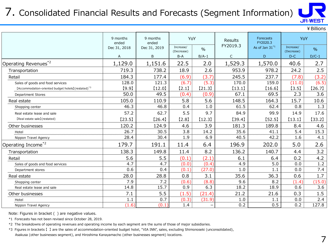## 7. Consolidated Financial Results and Forecasts (Segment Information)



|                                                                 |                   |                   |                         |         |              |                              |                         | <b>JH·WEST</b> |
|-----------------------------------------------------------------|-------------------|-------------------|-------------------------|---------|--------------|------------------------------|-------------------------|----------------|
|                                                                 |                   |                   |                         |         |              |                              |                         | ¥ Billions     |
|                                                                 | 9 months<br>ended | 9 months<br>ended | YoY                     |         | Results      | <b>Forecasts</b><br>FY2020.3 | YoY                     |                |
|                                                                 | Dec 31, 2018      | Dec 31, 2019      | Increase/<br>(Decrease) | $\%$    | FY2019.3     | As of Jan $31^{*1}$          | Increase/<br>(Decrease) | $\frac{0}{6}$  |
|                                                                 | A                 | B                 | $B-A$                   | $B/A-1$ | $\mathsf{C}$ | D                            | $D-C$                   | $D/C-1$        |
| Operating Revenues <sup>*2</sup>                                | 1,129.0           | 1,151.6           | 22.5                    | 2.0     | 1,529.3      | 1,570.0                      | 40.6                    | 2.7            |
| Transportation                                                  | 719.3             | 738.2             | 18.9                    | 2.6     | 953.9        | 978.2                        | 24.2                    | 2.5            |
| Retail                                                          | 184.3             | 177.4             | (6.9)                   | (3.7)   | 245.5        | 237.7                        | (7.8)                   | (3.2)          |
| Sales of goods and food services                                | 128.0             | 121.3             | (6.7)                   | (5.3)   | 170.0        | 159.0                        | (11.0)                  | (6.5)          |
| [Accommodation-oriented budget hotels] (restated) <sup>*3</sup> | [9.9]             | [12.0]            | [2.1]                   | [21.3]  | [13.1]       | [16.6]                       | [3.5]                   | [26.7]         |
| Department Stores                                               | 50.0              | 49.5              | (0.4)                   | (0.9)   | 67.1         | 69.5                         | 2.3                     | 3.6            |
| Real estate                                                     | 105.0             | 110.9             | 5.8                     | 5.6     | 148.5        | 164.3                        | 15.7                    | 10.6           |
| Shopping center                                                 | 46.3              | 46.8              | 0.4                     | 1.0     | 61.5         | 62.4                         | 0.8                     | 1.3            |
| Real estate lease and sale                                      | 57.2              | 62.7              | 5.5                     | 9.7     | 84.9         | 99.9                         | 14.9                    | 17.6           |
| [Real estate sale](restated)                                    | [23.5]            | [26.4]            | [2.8]                   | [12.3]  | [39.4]       | [52.5]                       | [13.1]                  | [33.2]         |
| Other businesses                                                | 120.2             | 124.9             | 4.6                     | 3.9     | 181.3        | 189.8                        | 8.4                     | 4.6            |
| Hotel                                                           | 26.7              | 30.5              | 3.8                     | 14.2    | 35.6         | 41.1                         | 5.4                     | 15.3           |
| Nippon Travel Agency                                            | 28.4              | 30.4              | 1.9                     | 6.9     | 40.5         | 42.2                         | 1.6                     | 4.1            |
| Operating Income <sup>*2</sup>                                  | 179.7             | 191.1             | 11.4                    | 6.4     | 196.9        | 202.0                        | 5.0                     | 2.6            |
| Transportation                                                  | 138.3             | 149.8             | 11.4                    | 8.2     | 136.2        | 140.7                        | 4.4                     | 3.2            |
| Retail                                                          | 5.6               | 5.5               | (0.1)                   | (2.1)   | 6.1          | 6.4                          | 0.2                     | 4.2            |
| Sales of goods and food services                                | 4.7               | 4.7               | (0.0)                   | (0.4)   | 4.9          | 5.0                          | 0.0                     | 1.2            |
| Department stores                                               | 0.6               | 0.4               | (0.1)                   | (27.0)  | 1.0          | 1.1                          | 0.0                     | 7.4            |
| Real estate                                                     | 28.0              | 28.8              | 0.8                     | 3.1     | 35.6         | 36.3                         | 0.6                     | 1.7            |
| Shopping center                                                 | 7.9               | 7.2               | (0.6)                   | (8.8)   | 9.6          | 8.2                          | (1.4)                   | (15.0)         |
| Real estate lease and sale                                      | 14.8              | 15.7              | 0.9                     | 6.3     | 18.2         | 18.9                         | 0.6                     | 3.6            |
| Other businesses                                                | 7.1               | 5.5               | (1.5)                   | (21.4)  | 21.2         | 21.6                         | 0.3                     | 1.5            |
| Hotel                                                           | 1.1               | 0.7               | (0.3)                   | (31.9)  | 1.0          | 1.1                          | 0.0                     | 2.4            |
| Nippon Travel Agency                                            | (1.6)             | (0.1)             | 1.4                     | ۳       | 0.2          | 0.5                          | 0.2                     | 127.8          |

Note: Figures in bracket ( ) are negative values.

\*1 Forecasts has not been revised since October 28, 2019.

\*2 The breakdowns of operating revenues and operating income by each segment are the sums of those of major subsidiaries.

\*3 Figures in brackets 【 】 are the sales of accommodation-oriented budget hotel, "VIA INN", sales, excluding Shimonoseki (unconsolidated),

Asakusa (other businesses segment), and Hiroshima Kanayamacho (other businesses segment) locations.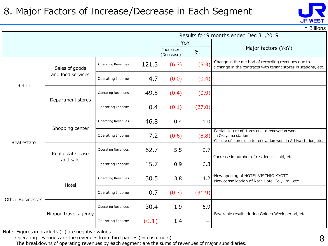#### 8. Major Factors of Increase/Decrease in Each Segment



 $\angle$  Billions

|                         |                      | Results for 9 months ended Dec 31,2019 |       |                         |               |                                                                                                                                            |  |  |  |
|-------------------------|----------------------|----------------------------------------|-------|-------------------------|---------------|--------------------------------------------------------------------------------------------------------------------------------------------|--|--|--|
|                         |                      |                                        |       |                         | YoY           |                                                                                                                                            |  |  |  |
|                         |                      |                                        |       | Increase/<br>(Decrease) | $\frac{0}{0}$ | Major factors (YoY)                                                                                                                        |  |  |  |
|                         | Sales of goods       | <b>Operating Revenues</b>              | 121.3 | (6.7)                   | (5.3)         | Change in the method of recording revenues due to<br>a change in the contracts with tenant stores in stations, etc.                        |  |  |  |
| Retail                  | and food services    | Operating Income                       | 4.7   | (0.0)                   | (0.4)         |                                                                                                                                            |  |  |  |
|                         |                      | <b>Operating Revenues</b>              | 49.5  | (0.4)                   | (0.9)         |                                                                                                                                            |  |  |  |
|                         | Department stores    | Operating Income                       | 0.4   | (0.1)                   | (27.0)        |                                                                                                                                            |  |  |  |
|                         | Shopping center      | <b>Operating Revenues</b>              | 46.8  | 0.4                     | 1.0           |                                                                                                                                            |  |  |  |
| Real estate             |                      | Operating Income                       | 7.2   | (0.6)                   | (8.8)         | Partial closure of stores due to renovation work<br>in Okayama station<br>Closure of stores due to renovation work in Ashiya station, etc. |  |  |  |
|                         | Real estate lease    | Operating Revenues                     | 62.7  | 5.5                     | 9.7           | ·Increase in number of residences sold, etc.                                                                                               |  |  |  |
|                         | and sale             | Operating Income                       | 15.7  | 0.9                     | 6.3           |                                                                                                                                            |  |  |  |
|                         | Hotel                | Operating Revenues                     | 30.5  | 3.8                     | 14.2          | ·New opening of HOTEL VISCHIO KYOTO<br>·New consolidation of Nara Hotel Co., Ltd., etc.                                                    |  |  |  |
| <b>Other Businesses</b> |                      | Operating Income                       | 0.7   | (0.3)                   | (31.9)        |                                                                                                                                            |  |  |  |
|                         |                      | <b>Operating Revenues</b>              | 30.4  | 1.9                     | 6.9           | ·Favorable results during Golden Week period, etc                                                                                          |  |  |  |
|                         | Nippon travel agency | Operating Income                       | (0.1) | 1.4                     | —             |                                                                                                                                            |  |  |  |

Note: Figures in brackets ( ) are negative values.

Operating revenues are the revenues from third parties ( = customers).

The breakdowns of operating revenues by each segment are the sums of revenues of major subsidiaries.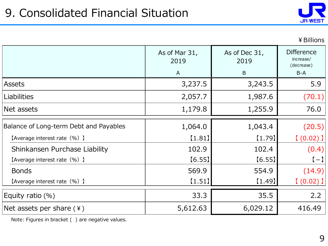

#### ¥Billions

|                                        | As of Mar 31,<br>2019<br>$\mathsf{A}$ | As of Dec 31,<br>2019<br>B | <b>Difference</b><br>increase/<br>(decrease)<br>B-A |
|----------------------------------------|---------------------------------------|----------------------------|-----------------------------------------------------|
| Assets                                 | 3,237.5                               | 3,243.5                    | 5.9                                                 |
| Liabilities                            | 2,057.7                               | 1,987.6                    | (70.1)                                              |
| Net assets                             | 1,179.8                               | 1,255.9                    | 76.0                                                |
| Balance of Long-term Debt and Payables | 1,064.0                               | 1,043.4                    | (20.5)                                              |
| [Average interest rate (%) ]           | [1.81]                                | (1.79)                     | $(0.02)$ ]                                          |
| Shinkansen Purchase Liability          | 102.9                                 | 102.4                      | (0.4)                                               |
| [Average interest rate (%) ]           | [6.55]                                | [6.55]                     | $(-)$                                               |
| <b>Bonds</b>                           | 569.9                                 | 554.9                      | (14.9)                                              |
| [Average interest rate (%) ]           | [1.51]                                | [1.49]                     | $(0.02)$ ]                                          |
| Equity ratio (%)                       | 33.3                                  | 35.5                       | 2.2                                                 |
| Net assets per share $(*)$             | 5,612.63                              | 6,029.12                   | 416.49                                              |

Note: Figures in bracket ( ) are negative values.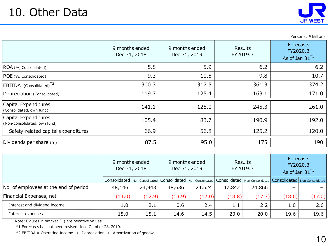Safety-related capital expenditures



Persons, ¥ Billions

190.9 192.0

Depreciation (Consolidated)  $119.7$  125.4  $163.1$  171.0 9 months ended Dec 31, 2018 Results FY2019.3 **Forecasts** FY2020.3 As of Jan  $31^{*1}$  $5.8$  5.9 6.2 6.2 9.3  $\vert$  10.5  $\vert$  9.8  $\vert$  10.7 300.3 317.5 317.5 361.3 261.0 Capital Experience estimates and the consolidated, own fund) and the consolidated, own fund) and  $(Considered, own fund)$ 125.0 9 months ended Dec 31, 2019 5.9 10.5 317.5 125.4

83.7

66.9 56.8 125.2

56.8

1.0 2.1 0.6 2.4 1.1 2.2 1.0 2.6 15.0 15.1 14.6 14.5 20.0 20.0 19.6 19.6

| Dividends per share $(*)$             |                                | 87.5   |                                | 95.0   |                     | 175    |                                                                                                                                                                                                                                | 190    |  |  |  |
|---------------------------------------|--------------------------------|--------|--------------------------------|--------|---------------------|--------|--------------------------------------------------------------------------------------------------------------------------------------------------------------------------------------------------------------------------------|--------|--|--|--|
|                                       |                                |        |                                |        |                     |        |                                                                                                                                                                                                                                |        |  |  |  |
|                                       | 9 months ended<br>Dec 31, 2018 |        | 9 months ended<br>Dec 31, 2019 |        | Results<br>FY2019.3 |        | Forecasts<br>FY2020.3<br>As of Jan $31^{*1}$                                                                                                                                                                                   |        |  |  |  |
|                                       |                                |        |                                |        |                     |        | Consolidated   Non-Consolidated   Consolidated   Non-Consolidated   Consolidated   Non-Consolidated   Consolidated   Non-Consolidated   Non-Consolidated   Non-Consolidated   Non-Consolidated   Non-Consolidated   Non-Consol |        |  |  |  |
| No. of employees at the end of period | 48,146                         | 24,943 | 48,636                         | 24,524 | 47,842              | 24,866 |                                                                                                                                                                                                                                |        |  |  |  |
| Financial Expenses, net               | (14.0)                         | (12.9) | (13.9)                         | (12.0) | (18.8)              | (17.7) | (18.6)                                                                                                                                                                                                                         | (17.0) |  |  |  |

Interest expenses

Interest and dividend income

ROA (%, Consolidated) ROE (%, Consolidated)

EBITDA (Consolidated)<sup>\*2</sup>

Capital Expenditures

Capital Expenditures

Note: Figures in bracket ( ) are negative values.

\*1 Forecasts has not been revised since October 28, 2019.

 $*2$  EBITDA = Operating Income + Depreciation + Amortization of goodwill

(Non-consolidated, own fund) 105.4

120.0